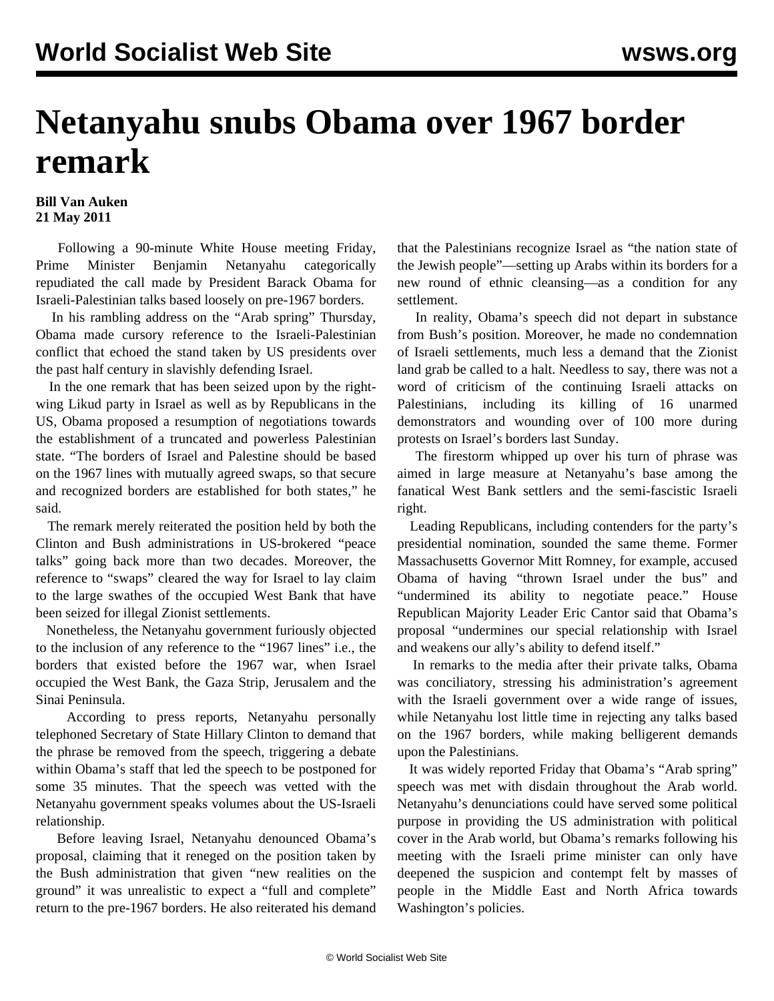## **Netanyahu snubs Obama over 1967 border remark**

## **Bill Van Auken 21 May 2011**

 Following a 90-minute White House meeting Friday, Prime Minister Benjamin Netanyahu categorically repudiated the call made by President Barack Obama for Israeli-Palestinian talks based loosely on pre-1967 borders.

 In his rambling address on the "Arab spring" Thursday, Obama made cursory reference to the Israeli-Palestinian conflict that echoed the stand taken by US presidents over the past half century in slavishly defending Israel.

 In the one remark that has been seized upon by the rightwing Likud party in Israel as well as by Republicans in the US, Obama proposed a resumption of negotiations towards the establishment of a truncated and powerless Palestinian state. "The borders of Israel and Palestine should be based on the 1967 lines with mutually agreed swaps, so that secure and recognized borders are established for both states," he said.

 The remark merely reiterated the position held by both the Clinton and Bush administrations in US-brokered "peace talks" going back more than two decades. Moreover, the reference to "swaps" cleared the way for Israel to lay claim to the large swathes of the occupied West Bank that have been seized for illegal Zionist settlements.

 Nonetheless, the Netanyahu government furiously objected to the inclusion of any reference to the "1967 lines" i.e., the borders that existed before the 1967 war, when Israel occupied the West Bank, the Gaza Strip, Jerusalem and the Sinai Peninsula.

 According to press reports, Netanyahu personally telephoned Secretary of State Hillary Clinton to demand that the phrase be removed from the speech, triggering a debate within Obama's staff that led the speech to be postponed for some 35 minutes. That the speech was vetted with the Netanyahu government speaks volumes about the US-Israeli relationship.

 Before leaving Israel, Netanyahu denounced Obama's proposal, claiming that it reneged on the position taken by the Bush administration that given "new realities on the ground" it was unrealistic to expect a "full and complete" return to the pre-1967 borders. He also reiterated his demand that the Palestinians recognize Israel as "the nation state of the Jewish people"—setting up Arabs within its borders for a new round of ethnic cleansing—as a condition for any settlement.

 In reality, Obama's speech did not depart in substance from Bush's position. Moreover, he made no condemnation of Israeli settlements, much less a demand that the Zionist land grab be called to a halt. Needless to say, there was not a word of criticism of the continuing Israeli attacks on Palestinians, including its killing of 16 unarmed demonstrators and wounding over of 100 more during protests on Israel's borders last Sunday.

 The firestorm whipped up over his turn of phrase was aimed in large measure at Netanyahu's base among the fanatical West Bank settlers and the semi-fascistic Israeli right.

 Leading Republicans, including contenders for the party's presidential nomination, sounded the same theme. Former Massachusetts Governor Mitt Romney, for example, accused Obama of having "thrown Israel under the bus" and "undermined its ability to negotiate peace." House Republican Majority Leader Eric Cantor said that Obama's proposal "undermines our special relationship with Israel and weakens our ally's ability to defend itself."

 In remarks to the media after their private talks, Obama was conciliatory, stressing his administration's agreement with the Israeli government over a wide range of issues, while Netanyahu lost little time in rejecting any talks based on the 1967 borders, while making belligerent demands upon the Palestinians.

 It was widely reported Friday that Obama's "Arab spring" speech was met with disdain throughout the Arab world. Netanyahu's denunciations could have served some political purpose in providing the US administration with political cover in the Arab world, but Obama's remarks following his meeting with the Israeli prime minister can only have deepened the suspicion and contempt felt by masses of people in the Middle East and North Africa towards Washington's policies.